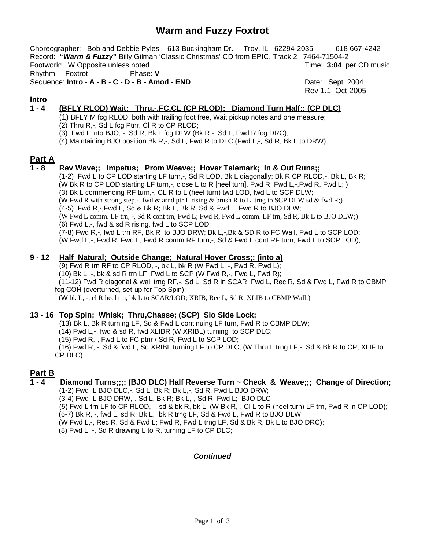# **Warm and Fuzzy Foxtrot**

Choreographer: Bob and Debbie Pyles 613 Buckingham Dr. Troy, IL 62294-2035 618 667-4242 Record: **"***Warm & Fuzzy***"** Billy Gilman 'Classic Christmas' CD from EPIC, Track 2 7464-71504-2 Footwork: W Opposite unless noted Time: **3:04** per CD music

Rhythm: Foxtrot Phase: **V**

Sequence: **Intro - A - B - C - D - B - Amod - END** Date: Sept 2004

Rev 1.1 Oct 2005

## **Intro**

## **1 - 4 (BFLY RLOD) Wait; Thru,-,FC,CL (CP RLOD); Diamond Turn Half;; (CP DLC)**

- (1) BFLY M fcg RLOD, both with trailing foot free, Wait pickup notes and one measure;
- (2) Thru R,-, Sd L fcg Ptnr, Cl R to CP RLOD;
- (3) Fwd L into BJO, -, Sd R, Bk L fcg DLW (Bk R,-, Sd L, Fwd R fcg DRC);
- (4) Maintaining BJO position Bk R,-, Sd L, Fwd R to DLC (Fwd L,-, Sd R, Bk L to DRW);

## **Part A**

#### **1 - 8 Rev Wave;; Impetus; Prom Weave;; Hover Telemark; In & Out Runs;;**

 $(1-2)$  Fwd L to CP LOD starting LF turn,-, Sd R LOD, Bk L diagonally; Bk R CP RLOD,-, Bk L, Bk R; (W Bk R to CP LOD starting LF turn,-, close L to R [heel turn], Fwd R; Fwd L,-,Fwd R, Fwd L; ) (3) Bk L commencing RF turn,-, CL R to L (heel turn) twd LOD, fwd L to SCP DLW; (W Fwd R with strong step,-, fwd & arnd ptr L rising & brush R to L, trng to SCP DLW sd & fwd R;) (4-5) Fwd R,-,Fwd L, Sd & Bk R; Bk L, Bk R, Sd & Fwd L, Fwd R to BJO DLW; (W Fwd L comm. LF trn, -, Sd R cont trn, Fwd L; Fwd R, Fwd L comm. LF trn, Sd R, Bk L to BJO DLW;) (6) Fwd L,-, fwd & sd R rising, fwd L to SCP LOD; (7-8) Fwd R,-, fwd L trn RF, Bk R to BJO DRW; Bk L,-,Bk & SD R to FC Wall, Fwd L to SCP LOD; (W Fwd L,-, Fwd R, Fwd L; Fwd R comm RF turn,-, Sd & Fwd L cont RF turn, Fwd L to SCP LOD);

## **9 - 12 Half Natural; Outside Change; Natural Hover Cross;; (into a)**

(9) Fwd R trn RF to CP RLOD,  $-$ , bk L, bk R (W Fwd L,  $-$ , Fwd R, Fwd L);

(10) Bk L,  $-$ , bk & sd R trn LF, Fwd L to SCP (W Fwd R, $-$ , Fwd L, Fwd R);

 (11-12) Fwd R diagonal & wall trng RF,-, Sd L, Sd R in SCAR; Fwd L, Rec R, Sd & Fwd L, Fwd R to CBMP fcg COH (overturned, set-up for Top Spin);

(W bk L, -, cl R heel trn, bk L to SCAR/LOD; XRIB, Rec L, Sd R, XLIB to CBMP Wall;)

## **13 - 16 Top Spin; Whisk; Thru,Chasse; (SCP) Slo Side Lock;**

(13) Bk L, Bk R turning LF, Sd & Fwd L continuing LF turn, Fwd R to CBMP DLW;

(14) Fwd L,-, fwd & sd R, fwd XLIBR (W XRIBL) turning to SCP DLC;

(15) Fwd R,-, Fwd L to FC ptnr / Sd R, Fwd L to SCP LOD;

 (16) Fwd R, -, Sd & fwd L, Sd XRIBL turning LF to CP DLC; (W Thru L trng LF,-, Sd & Bk R to CP, XLIF to CP DLC)

## **Part B**

## **1 - 4 Diamond Turns;;;; (BJO DLC) Half Reverse Turn ~ Check & Weave;;; Change of Direction;**

(1-2) Fwd L BJO DLC,-. Sd L, Bk R; Bk L,-, Sd R, Fwd L BJO DRW;

(3-4) Fwd L BJO DRW,-. Sd L, Bk R; Bk L,-, Sd R, Fwd L; BJO DLC

(5) Fwd L trn LF to CP RLOD, -, sd & bk R, bk L; (W Bk R,-, Cl L to R (heel turn) LF trn, Fwd R in CP LOD);

(6-7) Bk R, -, fwd L, sd R; Bk L, bk R trng LF, Sd & Fwd L, Fwd R to BJO DLW;

(W Fwd L,-, Rec R, Sd & Fwd L; Fwd R, Fwd L trng LF, Sd & Bk R, Bk L to BJO DRC);

(8) Fwd L, -, Sd R drawing L to R, turning LF to CP DLC;

## *Continued*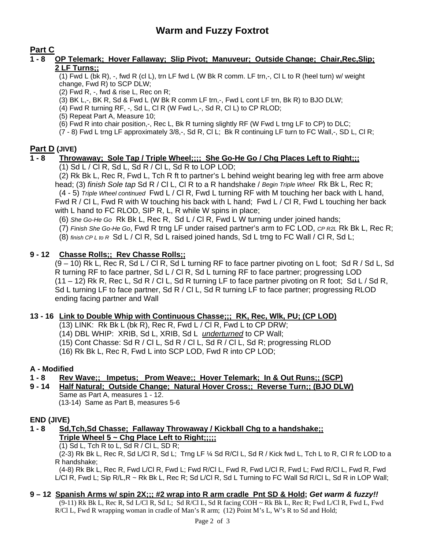**Part C**

## **1 - 8 OP Telemark; Hover Fallaway; Slip Pivot; Manuveur; Outside Change; Chair,Rec,Slip; 2 LF Turns;;**

(1) Fwd L (bk R), -, fwd R (cl L), trn LF fwd L (W Bk R comm. LF trn,-, Cl L to R (heel turn) w/ weight change, Fwd R) to SCP DLW;

- (2) Fwd R, -, fwd & rise L, Rec on R;
- (3) BK L,-, BK R, Sd & Fwd L (W Bk R comm LF trn,-, Fwd L cont LF trn, Bk R) to BJO DLW;
- (4) Fwd R turning RF,  $-$ , Sd L, Cl R (W Fwd L, $-$ , Sd R, Cl L) to CP RLOD;
- (5) Repeat Part A, Measure 10;
- (6) Fwd R into chair position,-, Rec L, Bk R turning slightly RF (W Fwd L trng LF to CP) to DLC;

(7 - 8) Fwd L trng LF approximately 3/8,-, Sd R, Cl L; Bk R continuing LF turn to FC Wall,-, SD L, Cl R;

## **Part D (JIVE)**

## **1 - 8 Throwaway; Sole Tap / Triple Wheel;;;; She Go-He Go / Chg Places Left to Right;;;**

(1) Sd L / Cl R, Sd L, Sd R / Cl L, Sd R to LOP LOD;

(2) Rk Bk L, Rec R, Fwd L, Tch R ft to partner's L behind weight bearing leg with free arm above head; (3) *finish Sole tap* Sd R / Cl L, Cl R to a R handshake / *Begin Triple Wheel* Rk Bk L, Rec R; (4 - 5) *Triple Wheel continued* Fwd L / Cl R, Fwd L turning RF with M touching her back with L hand,

Fwd R / Cl L, Fwd R with W touching his back with L hand; Fwd L / Cl R, Fwd L touching her back with L hand to FC RLOD, SIP R, L, R while W spins in place;

- (6) *She Go-He Go* Rk Bk L, Rec R, Sd L / Cl R, Fwd L W turning under joined hands;
- (7) *Finish She Go-He Go*, Fwd R trng LF under raised partner's arm to FC LOD, *CP R2L* Rk Bk L, Rec R;
- (8) *finish CP L to R* Sd L / Cl R, Sd L raised joined hands, Sd L trng to FC Wall / Cl R, Sd L;

## **9 - 12 Chasse Rolls;; Rev Chasse Rolls;;**

(9 – 10) Rk L, Rec R, Sd L / Cl R, Sd L turning RF to face partner pivoting on L foot; Sd R / Sd L, Sd R turning RF to face partner, Sd L / Cl R, Sd L turning RF to face partner; progressing LOD (11 – 12) Rk R, Rec L, Sd R / Cl L, Sd R turning LF to face partner pivoting on R foot; Sd L / Sd R, Sd L turning LF to face partner, Sd R / Cl L, Sd R turning LF to face partner; progressing RLOD ending facing partner and Wall

## **13 - 16 Link to Double Whip with Continuous Chasse;;; RK, Rec, Wlk, PU; (CP LOD)**

- (13) LINK: Rk Bk L (bk R), Rec R, Fwd L / Cl R, Fwd L to CP DRW;
- (14) DBL WHIP: XRIB, Sd L, XRIB, Sd L *underturned* to CP Wall;
- (15) Cont Chasse: Sd R / Cl L, Sd R / Cl L, Sd R / Cl L, Sd R; progressing RLOD
- (16) Rk Bk L, Rec R, Fwd L into SCP LOD, Fwd R into CP LOD;

## **A - Modified**

## **1 - 8 Rev Wave;; Impetus; Prom Weave;; Hover Telemark; In & Out Runs;; (SCP)**

**9 - 14 Half Natural; Outside Change; Natural Hover Cross;; Reverse Turn;; (BJO DLW)** Same as Part A, measures 1 - 12. (13-14) Same as Part B, measures 5-6

## **END (JIVE)**

**1 - 8 Sd,Tch,Sd Chasse; Fallaway Throwaway / Kickball Chg to a handshake;; Triple Wheel 5 ~ Chg Place Left to Right;;;;;** 

(1) Sd L, Tch R to L, Sd R / Cl L, SD R;

(2-3) Rk Bk L, Rec R, Sd L/Cl R, Sd L; Trng LF ¼ Sd R/Cl L, Sd R / Kick fwd L, Tch L to R, Cl R fc LOD to a R handshake;

(4-8) Rk Bk L, Rec R, Fwd L/Cl R, Fwd L; Fwd R/Cl L, Fwd R, Fwd L/Cl R, Fwd L; Fwd R/Cl L, Fwd R, Fwd L/Cl R, Fwd L; Sip R/L,R ~ Rk Bk L, Rec R; Sd L/Cl R, Sd L Turning to FC Wall Sd R/Cl L, Sd R in LOP Wall;

## **9 – 12 Spanish Arms w/ spin 2X;;; #2 wrap into R arm cradle Pnt SD & Hold;** *Get warm & fuzzy!!*

(9-11) Rk Bk L, Rec R, Sd L/Cl R, Sd L; Sd R/Cl L, Sd R facing COH ~ Rk Bk L, Rec R; Fwd L/Cl R, Fwd L, Fwd R/Cl L, Fwd R wrapping woman in cradle of Man's R arm; (12) Point M's L, W's R to Sd and Hold;